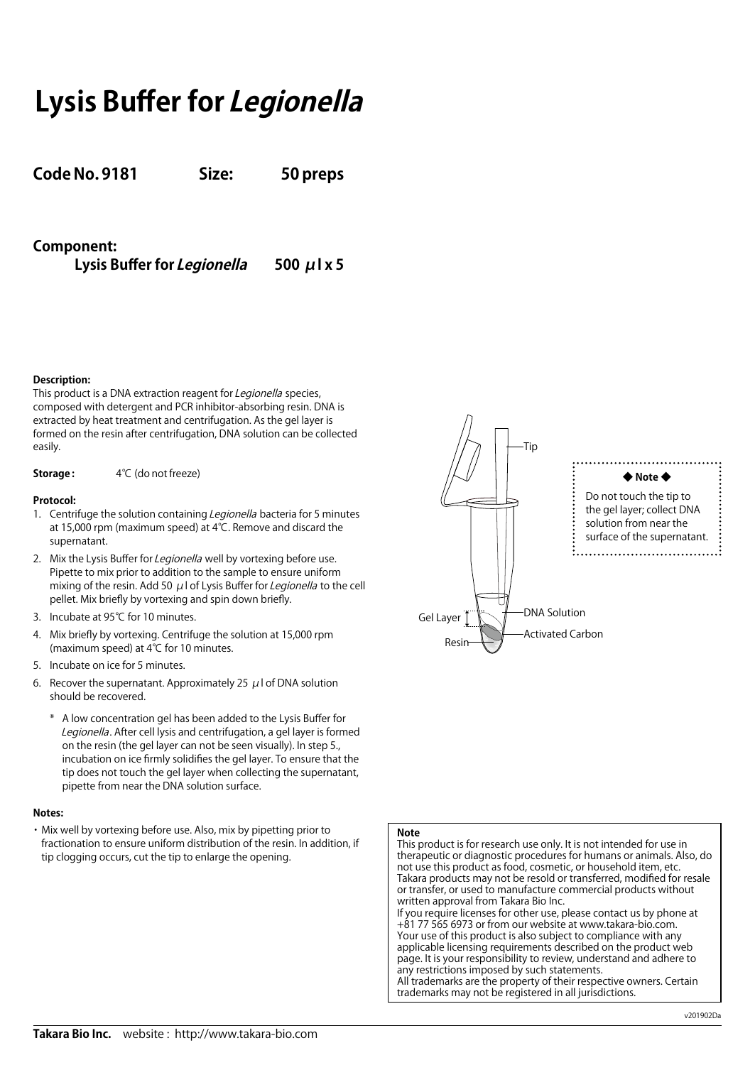# **Lysis Buffer for Legionella**

**Code No. 9181 Size: 50 preps**

**Component:** 

**Lysis Buffer for Legionella 500 μl x 5**

## **Description:**

This product is a DNA extraction reagent for Legionella species, composed with detergent and PCR inhibitor-absorbing resin. DNA is extracted by heat treatment and centrifugation. As the gel layer is formed on the resin after centrifugation, DNA solution can be collected easily.

**Storage :** 4℃ (do not freeze)

## **Protocol:**

- 1. Centrifuge the solution containing Legionella bacteria for 5 minutes at 15,000 rpm (maximum speed) at 4℃. Remove and discard the supernatant.
- 2. Mix the Lysis Buffer for Legionella well by vortexing before use. Pipette to mix prior to addition to the sample to ensure uniform mixing of the resin. Add 50 μl of Lysis Buffer for Legionella to the cell pellet. Mix briefly by vortexing and spin down briefly.
- 3. Incubate at 95℃ for 10 minutes.
- 4. Mix briefly by vortexing. Centrifuge the solution at 15,000 rpm (maximum speed) at 4℃ for 10 minutes.
- 5. Incubate on ice for 5 minutes.
- 6. Recover the supernatant. Approximately 25  $\mu$  l of DNA solution should be recovered.
	- A low concentration gel has been added to the Lysis Buffer for Legionella. After cell lysis and centrifugation, a gel layer is formed on the resin (the gel layer can not be seen visually). In step 5., incubation on ice firmly solidifies the gel layer. To ensure that the tip does not touch the gel layer when collecting the supernatant, pipette from near the DNA solution surface.

## **Notes:**

・Mix well by vortexing before use. Also, mix by pipetting prior to fractionation to ensure uniform distribution of the resin. In addition, if tip clogging occurs, cut the tip to enlarge the opening.



## **Note**

This product is for research use only. It is not intended for use in therapeutic or diagnostic procedures for humans or animals. Also, do not use this product as food, cosmetic, or household item, etc. Takara products may not be resold or transferred, modified for resale or transfer, or used to manufacture commercial products without written approval from Takara Bio Inc. If you require licenses for other use, please contact us by phone at +81 77 565 6973 or from our website at www.takara-bio.com. Your use of this product is also subject to compliance with any applicable licensing requirements described on the product web page. It is your responsibility to review, understand and adhere to any restrictions imposed by such statements. All trademarks are the property of their respective owners. Certain trademarks may not be registered in all jurisdictions.